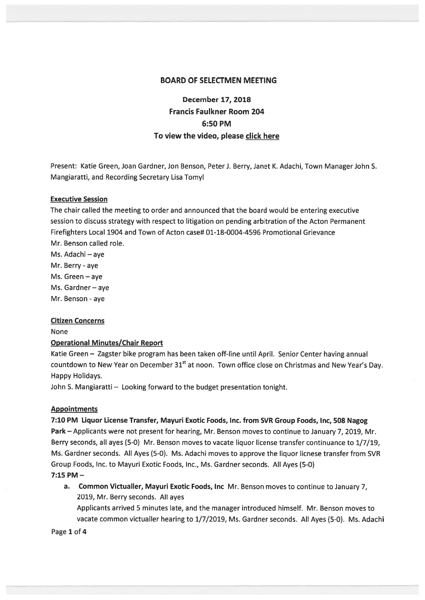#### BOARD OF SELECTMEN MEETING

# December 17, 2018 Francis Faulkner Room 204 6:50 PM To view the video, please click here

Present: Katie Green, Joan Gardner, Jon Benson, Peter J. Berry, Janet K. Adachi, Town Manager John S. Mangiaratti, and Recording Secretary Lisa Tomyl

## Executive Session

The chair called the meeting to order and announced that the board would be entering executive session to discuss strategy with respec<sup>t</sup> to litigation on pending arbitration of the Acton Permanent Firefighters Local 1904 and Town of Acton case# 01-18-0004-4596 Promotional Grievance Mr. Benson called role.

Ms. Adachi — aye Mr. Berry - aye Ms. Green — aye

Ms. Gardner — aye

Mr. Benson - aye

#### Citizen Concerns

None

## Operational Minutes/Chair Report

Katie Green — Zagster bike program has been taken off-line until April. Senior Center having annual countdown to New Year on December 31<sup>st</sup> at noon. Town office close on Christmas and New Year's Day. Happy Holidays.

John S. Mangiaratti — Looking forward to the budget presentation tonight.

#### **Appointments**

7:10 PM Liquor License Transfer, Mayuri Exotic Foods, Inc. from SVR Group Foods, Inc, 508 Nagog Park — Applicants were not presen<sup>t</sup> for hearing, Mr. Benson moves to continue to January 7, 2019, Mr. Berry seconds, all ayes (5-0) Mr. Benson moves to vacate liquor license transfer continuance to 1/7/19, Ms. Gardner seconds. All Ayes (5-0). Ms. Adachi moves to approve the liquor licnese transfer from SVR Group Foods, Inc. to Mayuri Exotic Foods, Inc., Ms. Gardner seconds. All Ayes (5-0) 7:15 PM —

a. Common Victualler, Mayuri Exotic Foods, Inc Mr. Benson moves to continue to January 7, 2019, Mr. Berry seconds. All ayes

Applicants arrived 5 minutes late, and the manager introduced himself. Mr. Benson moves to vacate common victualler hearing to 1/7/2019, Ms. Gardner seconds. All Ayes (5-0). Ms. Adachi

Page 1 of 4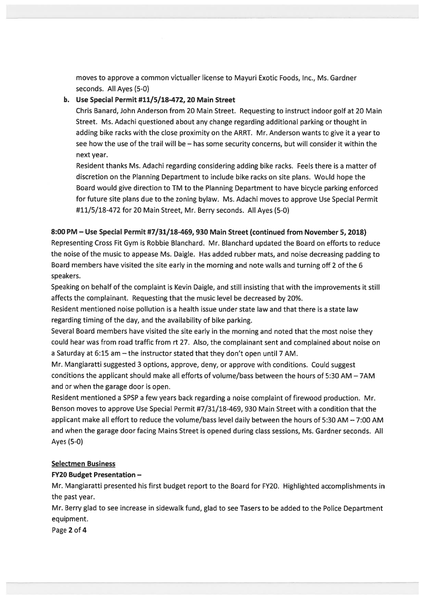moves to approve <sup>a</sup> common victualler license to Mayuri Exotic Foods, Inc., Ms. Gardner seconds. All Ayes (5-0)

# b. Use Special Permit #11/5/18-472, 20 Main Street

Chris Banard, John Anderson from 20 Main Street. Requesting to instruct indoor golf at 20 Main Street. Ms. Adachi questioned about any change regarding additional parking or thought in adding bike racks with the close proximity on the ARRT. Mr. Anderson wants to give it <sup>a</sup> year to see how the use of the trail will be — has some security concerns, but will consider it within the next year.

Resident thanks Ms. Adachi regarding considering adding bike racks. Feels there is <sup>a</sup> matter of discretion on the Planning Department to include bike racks on site plans. Would hope the Board would give direction to TM to the Planning Department to have bicycle parking enforced for future site plans due to the zoning bylaw. Ms. Adachi moves to approve Use Special Permit #11/5/18-472 for 20 Main Street, Mr. Berry seconds. All Ayes (5-0)

# 8:00 PM — Use Special Permit #7/31/18-469, 930 Main Street (continued from November 5, 2018)

Representing Cross Fit Gym is Robbie Blanchard. Mr. Blanchard updated the Board on efforts to reduce the noise of the music to appease Ms. Daigle. Has added rubber mats, and noise decreasing padding to Board members have visited the site early in the morning and note walls and turning off 2 of the <sup>6</sup> speakers.

Speaking on behalf of the complaint is Kevin Daigle, and still insisting that with the improvements it still affects the complainant. Requesting that the music level be decreased by 20%.

Resident mentioned noise pollution is <sup>a</sup> health issue under state law and that there is <sup>a</sup> state law regarding timing of the day, and the availability of bike parking.

Several Board members have visited the site early in the morning and noted that the most noise they could hear was from road traffic from rt 27. Also, the complainant sent and complained about noise on <sup>a</sup> Saturday at 6:15 am —the instructor stated that they don't open until 7AM.

Mr. Mangiaratti suggested 3 options, approve, deny, or approve with conditions. Could sugges<sup>t</sup> conditions the applicant should make all efforts of volume/bass between the hours of 5:30 AM — 7AM and or when the garage door is open.

Resident mentioned <sup>a</sup> SPSP <sup>a</sup> few years back regarding <sup>a</sup> noise complaint of firewood production. Mr. Benson moves to approve Use Special Permit #7/31/18-469, 930 Main Street with <sup>a</sup> condition that the applicant make all effort to reduce the volume/bass level daily between the hours of 5:30 AM — 7:00 AM and when the garage door facing Mains Street is opened during class sessions, Ms. Gardner seconds. All Ayes (5-0)

## **Selectmen Business**

#### FY20 Budget Presentation —

Mr. Mangiaratti presented his first budget repor<sup>t</sup> to the Board for FY20. Highlighted accomplishments in the pas<sup>t</sup> year.

Mr. Berry glad to see increase in sidewalk fund, glad to see Tasers to be added to the Police Department equipment.

Page 2 of 4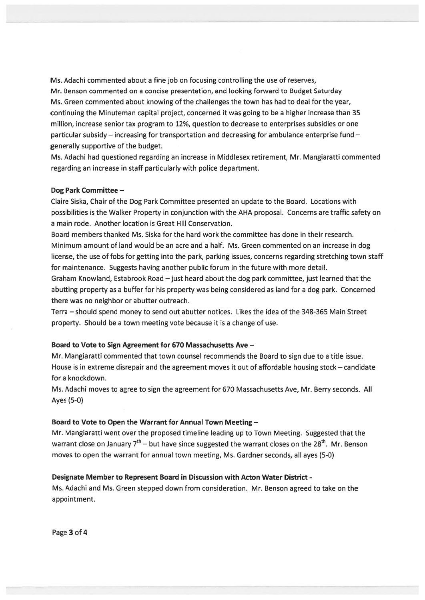Ms. Adachi commented about <sup>a</sup> fine job on focusing controlling the use of reserves, Mr. Benson commented on <sup>a</sup> concise presentation, and looking forward to Budget Saturday Ms. Green commented about knowing of the challenges the town has had to deal for the year, continuing the Minuteman capital project, concerned it was going to be <sup>a</sup> higher increase than 35 million, increase senior tax program to 12%, question to decrease to enterprises subsidies or one particular subsidy — increasing for transportation and decreasing for ambulance enterprise fund generally supportive of the budget.

Ms. Adachi had questioned regarding an increase in Middlesex retirement, Mr. Mangiaratti commented regarding an increase in staff particularly with police department.

#### Dog Park Committee —

Claire Siska, Chair of the Dog Park Committee presented an update to the Board. Locations with possibilities is the Walker Property in conjunction with the AHA proposal. Concerns are traffic safety on <sup>a</sup> main rode. Another location is Great Hill Conservation.

Board members thanked Ms. Siska for the hard work the committee has done in their research. Minimum amount of land would be an acre and <sup>a</sup> half. Ms. Green commented on an increase in dog license, the use of fobs for getting into the park, parking issues, concerns regarding stretching town staff for maintenance. Suggests having another public forum in the future with more detail.

Graham Knowland, Estabrook Road —just heard about the dog park committee, just learned that the abutting property as <sup>a</sup> buffer for his property was being considered as land for <sup>a</sup> dog park. Concerned there was no neighbor or abutter outreach.

Terra — should spend money to send out abutter notices. Likes the idea of the 348-365 Main Street property. Should be <sup>a</sup> town meeting vote because it is <sup>a</sup> change of use.

#### Board to Vote to Sign Agreement for 670 Massachusetts Ave —

Mr. Mangiaratti commented that town counsel recommends the Board to sign due to <sup>a</sup> title issue. House is in extreme disrepair and the agreemen<sup>t</sup> moves it out of affordable housing stock — candidate for <sup>a</sup> knockdown.

Ms. Adachi moves to agree to sign the agreemen<sup>t</sup> for 670 Massachusetts Aye, Mr. Berry seconds. All Ayes (5-0)

#### Board to Vote to Open the Warrant for Annual Town Meeting —

Mr. Mangiaratti went over the proposed timeline leading up to Town Meeting. Suggested that the warrant close on January  $7<sup>th</sup>$  – but have since suggested the warrant closes on the 28<sup>th</sup>. Mr. Benson moves to open the warrant for annual town meeting, Ms. Gardner seconds, all ayes (5-0)

#### Designate Member to Represent Board in Discussion with Acton Water District -

Ms. Adachi and Ms. Green stepped down from consideration. Mr. Benson agreed to take on the appointment.

Page 3 of 4